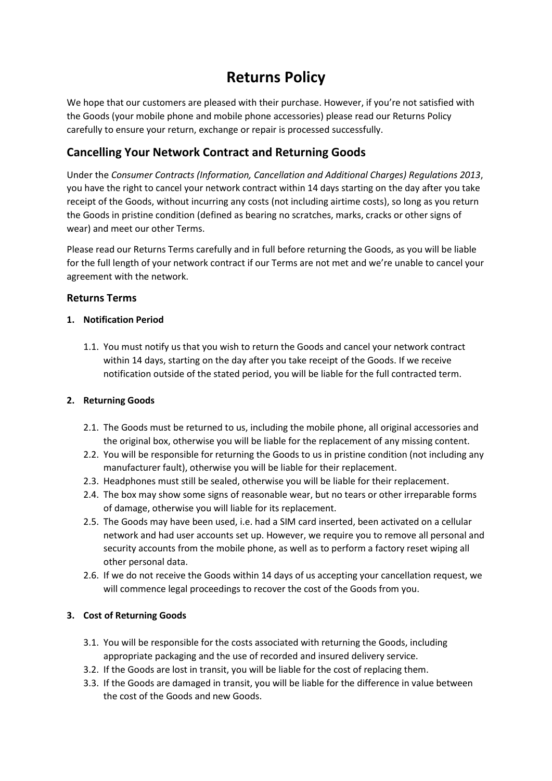# **Returns Policy**

We hope that our customers are pleased with their purchase. However, if you're not satisfied with the Goods (your mobile phone and mobile phone accessories) please read our Returns Policy carefully to ensure your return, exchange or repair is processed successfully.

# **Cancelling Your Network Contract and Returning Goods**

Under the *Consumer Contracts (Information, Cancellation and Additional Charges) Regulations 2013*, you have the right to cancel your network contract within 14 days starting on the day after you take receipt of the Goods, without incurring any costs (not including airtime costs), so long as you return the Goods in pristine condition (defined as bearing no scratches, marks, cracks or other signs of wear) and meet our other Terms.

Please read our Returns Terms carefully and in full before returning the Goods, as you will be liable for the full length of your network contract if our Terms are not met and we're unable to cancel your agreement with the network.

### **Returns Terms**

### **1. Notification Period**

1.1. You must notify us that you wish to return the Goods and cancel your network contract within 14 days, starting on the day after you take receipt of the Goods. If we receive notification outside of the stated period, you will be liable for the full contracted term.

# **2. Returning Goods**

- 2.1. The Goods must be returned to us, including the mobile phone, all original accessories and the original box, otherwise you will be liable for the replacement of any missing content.
- 2.2. You will be responsible for returning the Goods to us in pristine condition (not including any manufacturer fault), otherwise you will be liable for their replacement.
- 2.3. Headphones must still be sealed, otherwise you will be liable for their replacement.
- 2.4. The box may show some signs of reasonable wear, but no tears or other irreparable forms of damage, otherwise you will liable for its replacement.
- 2.5. The Goods may have been used, i.e. had a SIM card inserted, been activated on a cellular network and had user accounts set up. However, we require you to remove all personal and security accounts from the mobile phone, as well as to perform a factory reset wiping all other personal data.
- 2.6. If we do not receive the Goods within 14 days of us accepting your cancellation request, we will commence legal proceedings to recover the cost of the Goods from you.

# **3. Cost of Returning Goods**

- 3.1. You will be responsible for the costs associated with returning the Goods, including appropriate packaging and the use of recorded and insured delivery service.
- 3.2. If the Goods are lost in transit, you will be liable for the cost of replacing them.
- 3.3. If the Goods are damaged in transit, you will be liable for the difference in value between the cost of the Goods and new Goods.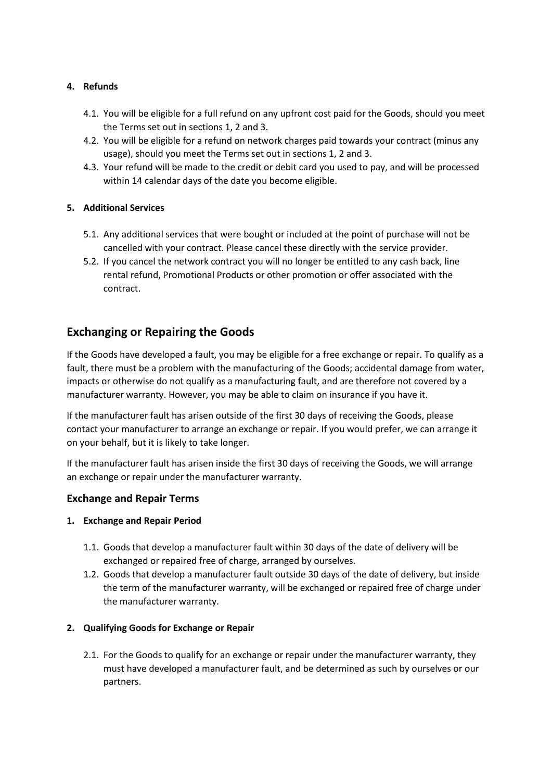### **4. Refunds**

- 4.1. You will be eligible for a full refund on any upfront cost paid for the Goods, should you meet the Terms set out in sections 1, 2 and 3.
- 4.2. You will be eligible for a refund on network charges paid towards your contract (minus any usage), should you meet the Terms set out in sections 1, 2 and 3.
- 4.3. Your refund will be made to the credit or debit card you used to pay, and will be processed within 14 calendar days of the date you become eligible.

### **5. Additional Services**

- 5.1. Any additional services that were bought or included at the point of purchase will not be cancelled with your contract. Please cancel these directly with the service provider.
- 5.2. If you cancel the network contract you will no longer be entitled to any cash back, line rental refund, Promotional Products or other promotion or offer associated with the contract.

# **Exchanging or Repairing the Goods**

If the Goods have developed a fault, you may be eligible for a free exchange or repair. To qualify as a fault, there must be a problem with the manufacturing of the Goods; accidental damage from water, impacts or otherwise do not qualify as a manufacturing fault, and are therefore not covered by a manufacturer warranty. However, you may be able to claim on insurance if you have it.

If the manufacturer fault has arisen outside of the first 30 days of receiving the Goods, please contact your manufacturer to arrange an exchange or repair. If you would prefer, we can arrange it on your behalf, but it is likely to take longer.

If the manufacturer fault has arisen inside the first 30 days of receiving the Goods, we will arrange an exchange or repair under the manufacturer warranty.

### **Exchange and Repair Terms**

### **1. Exchange and Repair Period**

- 1.1. Goods that develop a manufacturer fault within 30 days of the date of delivery will be exchanged or repaired free of charge, arranged by ourselves.
- 1.2. Goods that develop a manufacturer fault outside 30 days of the date of delivery, but inside the term of the manufacturer warranty, will be exchanged or repaired free of charge under the manufacturer warranty.

### **2. Qualifying Goods for Exchange or Repair**

2.1. For the Goods to qualify for an exchange or repair under the manufacturer warranty, they must have developed a manufacturer fault, and be determined as such by ourselves or our partners.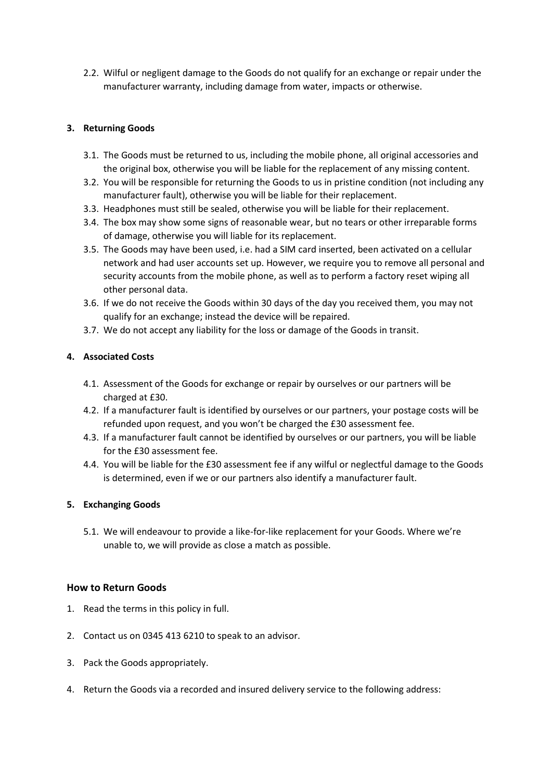2.2. Wilful or negligent damage to the Goods do not qualify for an exchange or repair under the manufacturer warranty, including damage from water, impacts or otherwise.

### **3. Returning Goods**

- 3.1. The Goods must be returned to us, including the mobile phone, all original accessories and the original box, otherwise you will be liable for the replacement of any missing content.
- 3.2. You will be responsible for returning the Goods to us in pristine condition (not including any manufacturer fault), otherwise you will be liable for their replacement.
- 3.3. Headphones must still be sealed, otherwise you will be liable for their replacement.
- 3.4. The box may show some signs of reasonable wear, but no tears or other irreparable forms of damage, otherwise you will liable for its replacement.
- 3.5. The Goods may have been used, i.e. had a SIM card inserted, been activated on a cellular network and had user accounts set up. However, we require you to remove all personal and security accounts from the mobile phone, as well as to perform a factory reset wiping all other personal data.
- 3.6. If we do not receive the Goods within 30 days of the day you received them, you may not qualify for an exchange; instead the device will be repaired.
- 3.7. We do not accept any liability for the loss or damage of the Goods in transit.

### **4. Associated Costs**

- 4.1. Assessment of the Goods for exchange or repair by ourselves or our partners will be charged at £30.
- 4.2. If a manufacturer fault is identified by ourselves or our partners, your postage costs will be refunded upon request, and you won't be charged the £30 assessment fee.
- 4.3. If a manufacturer fault cannot be identified by ourselves or our partners, you will be liable for the £30 assessment fee.
- 4.4. You will be liable for the £30 assessment fee if any wilful or neglectful damage to the Goods is determined, even if we or our partners also identify a manufacturer fault.

### **5. Exchanging Goods**

5.1. We will endeavour to provide a like-for-like replacement for your Goods. Where we're unable to, we will provide as close a match as possible.

### **How to Return Goods**

- 1. Read the terms in this policy in full.
- 2. Contact us on 0345 413 6210 to speak to an advisor.
- 3. Pack the Goods appropriately.
- 4. Return the Goods via a recorded and insured delivery service to the following address: